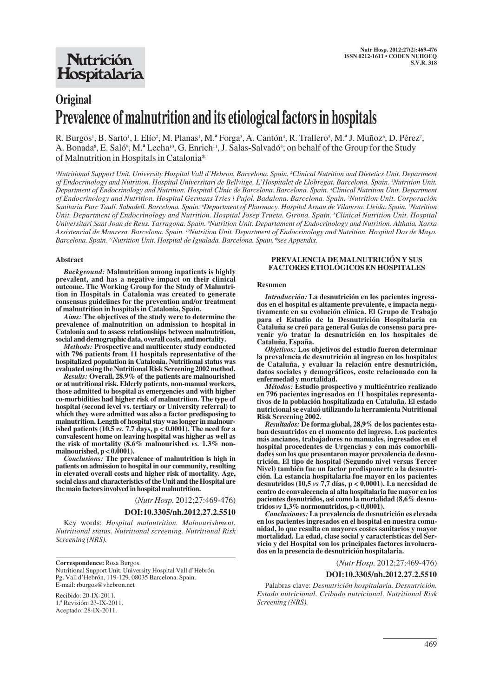# **Original Prevalence of malnutrition and its etiological factors in hospitals**

R. Burgos<sup>1</sup>, B. Sarto<sup>1</sup>, I. Elío<sup>2</sup>, M. Planas<sup>1</sup>, M.ª Forga<sup>3</sup>, A. Cantón<sup>4</sup>, R. Trallero<sup>5</sup>, M.ª J. Muñoz<sup>6</sup>, D. Pérez<sup>7</sup>, A. Bonada<sup>8</sup>, E. Saló<sup>9</sup>, M.ª Lecha<sup>10</sup>, G. Enrich<sup>11</sup>, J. Salas-Salvadó<sup>8</sup>; on behalf of the Group for the Study of Malnutrition in Hospitals in Catalonia\*

*1 Nutritional Support Unit. University Hospital Vall d'Hebron. Barcelona. Spain. 2 Clinical Nutrition and Dietetics Unit. Department of Endocrinology and Nutrition. Hospital Universitari de Bellvitge. L'Hospitalet de Llobregat. Barcelona. Spain. 3 Nutrition Unit. Department of Endocrinology and Nutrition. Hospital Clínic de Barcelona. Barcelona. Spain. 4 Clinical Nutrition Unit. Department of Endocrinology and Nutrition. Hospital Germans Tries i Pujol. Badalona. Barcelona. Spain. 5 Nutrition Unit. Corporación Sanitaria Parc Taulí. Sabadell. Barcelona. Spain. 6 Department of Pharmacy. Hospital Arnau de Vilanova. Lleida. Spain. 7 Nutrition Unit. Department of Endocrinology and Nutrition. Hospital Josep Trueta. Girona. Spain. 8 Clinical Nutrition Unit. Hospital* Universitari Sant Joan de Reus. Tarragona. Spain. <sup>9</sup>Nutrition Unit. Departament of Endocrinology and Nutrition. Althaia. Xarxa *Assistencial de Manresa. Barcelona. Spain. 10Nutrition Unit. Department of Endocrinology and Nutrition. Hospital Dos de Mayo. Barcelona. Spain. 11Nutrition Unit. Hospital de Igualada. Barcelona. Spain.\*see Appendix.*

#### **Abstract**

*Background:* **Malnutrition among inpatients is highly prevalent, and has a negative impact on their clinical outcome. The Working Group for the Study of Malnutrition in Hospitals in Catalonia was created to generate consensus guidelines for the prevention and/or treatment of malnutrition in hospitals in Catalonia, Spain.** 

*Aims:* **The objectives of the study were to determine the prevalence of malnutrition on admission to hospital in Catalonia and to assess relationships between malnutrition, social and demographic data, overall costs, and mortality.** 

*Methods:* **Prospective and multicenter study conducted with 796 patients from 11 hospitals representative of the hospitalized population in Catalonia. Nutritional status was evaluated using the Nutritional Risk Screening 2002 method.** 

*Results:* **Overall, 28.9% of the patients are malnourished or at nutritional risk. Elderly patients, non-manual workers, those admitted to hospital as emergencies and with higher co-morbidities had higher risk of malnutrition. The type of hospital (second level vs. tertiary or University referral) to which they were admitted was also a factor predisposing to malnutrition. Length of hospital stay was longer in malnourished patients (10.5** *vs.* **7.7 days, p < 0.0001). The need for a convalescent home on leaving hospital was higher as well as the risk of mortality (8.6% malnourished** *vs.* **1.3% nonmalnourished, p < 0.0001).**

*Conclusions:* **The prevalence of malnutrition is high in patients on admission to hospital in our community, resulting in elevated overall costs and higher risk of mortality. Age, social class and characteristics of the Unit and the Hospital are the main factors involved in hospital malnutrition.**

(*Nutr Hosp.* 2012;27:469-476)

#### **DOI:10.3305/nh.2012.27.2.5510**

Key words: *Hospital malnutrition. Malnourishment. Nutritional status. Nutritional screening. Nutritional Risk Screening (NRS).*

**Correspondence:** Rosa Burgos. Nutritional Support Unit. University Hospital Vall d'Hebrón. Pg. Vall d'Hebrón, 119-129. 08035 Barcelona. Spain. E-mail: rburgos@vhebron.net

Recibido: 20-IX-2011. 1.ª Revisión: 23-IX-2011. Aceptado: 28-IX-2011.

#### **PREVALENCIA DE MALNUTRICIÓN Y SUS FACTORES ETIOLÓGICOS EN HOSPITALES**

#### **Resumen**

*Introducción:* **La desnutrición en los pacientes ingresados en el hospital es altamente prevalente, e impacta negativamente en su evolución clínica. El Grupo de Trabajo para el Estudio de la Desnutrición Hospitalaria en Cataluña se creó para general Guías de consenso para prevenir y/o tratar la desnutrición en los hospitales de Cataluña, España.** 

*Objetivos:* **Los objetivos del estudio fueron determinar la prevalencia de desnutrición al ingreso en los hospitales de Cataluña, y evaluar la relación entre desnutrición, datos sociales y demográficos, coste relacionado con la enfermedad y mortalidad.** 

*Métodos:* **Estudio prospectivo y multicéntrico realizado en 796 pacientes ingresados en 11 hospitales representativos de la población hospitalizada en Cataluña. El estado nutricional se evaluó utilizando la herramienta Nutritional Risk Screening 2002.** 

*Resultados:* **De forma global, 28,9% de los pacientes estaban desnutridos en el momento del ingreso. Los pacientes más ancianos, trabajadores no manuales, ingresados en el hospital procedentes de Urgencias y con más comorbilidades son los que presentaron mayor prevalencia de desnutrición. El tipo de hospital (Segundo nivel versus Tercer Nivel) también fue un factor predisponerte a la desnutrición. La estancia hospitalaria fue mayor en los pacientes desnutridos (10,5** *vs* **7,7 días, p < 0,0001). La necesidad de centro de convalecencia al alta hospitalaria fue mayor en los pacientes desnutridos, así como la mortalidad (8,6% desnutridos** *vs* **1,3% normonutridos, p < 0,0001).**

*Conclusiones:* **La prevalencia de desnutrición es elevada en los pacientes ingresados en el hospital en nuestra comunidad, lo que resulta en mayores costes sanitarios y mayor mortalidad. La edad, clase social y características del Servicio y del Hospital son los principales factores involucrados en la presencia de desnutrición hospitalaria.** 

(*Nutr Hosp.* 2012;27:469-476)

### **DOI:10.3305/nh.2012.27.2.5510**

Palabras clave: *Desnutrición hospitalaria. Desnutrición. Estado nutricional. Cribado nutricional. Nutritional Risk Screening (NRS).*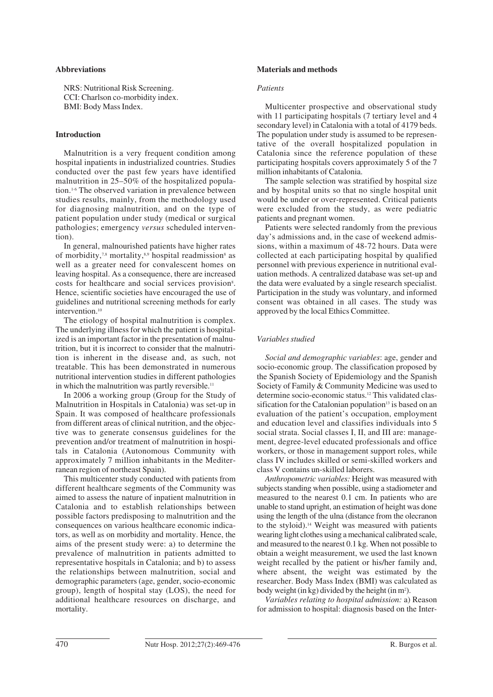# **Abbreviations**

NRS: Nutritional Risk Screening. CCI: Charlson co-morbidity index. BMI: Body Mass Index.

## **Introduction**

Malnutrition is a very frequent condition among hospital inpatients in industrialized countries. Studies conducted over the past few years have identified malnutrition in 25–50% of the hospitalized population.1-6 The observed variation in prevalence between studies results, mainly, from the methodology used for diagnosing malnutrition, and on the type of patient population under study (medical or surgical pathologies; emergency *versus* scheduled intervention).

In general, malnourished patients have higher rates of morbidity,<sup>7,8</sup> mortality,<sup>8,9</sup> hospital readmission<sup>8</sup> as well as a greater need for convalescent homes on leaving hospital. As a consequence, there are increased costs for healthcare and social services provision<sup>8</sup>. Hence, scientific societies have encouraged the use of guidelines and nutritional screening methods for early intervention.<sup>10</sup>

The etiology of hospital malnutrition is complex. The underlying illness for which the patient is hospitalized is an important factor in the presentation of malnutrition, but it is incorrect to consider that the malnutrition is inherent in the disease and, as such, not treatable. This has been demonstrated in numerous nutritional intervention studies in different pathologies in which the malnutrition was partly reversible.<sup>11</sup>

In 2006 a working group (Group for the Study of Malnutrition in Hospitals in Catalonia) was set-up in Spain. It was composed of healthcare professionals from different areas of clinical nutrition, and the objective was to generate consensus guidelines for the prevention and/or treatment of malnutrition in hospitals in Catalonia (Autonomous Community with approximately 7 million inhabitants in the Mediterranean region of northeast Spain).

This multicenter study conducted with patients from different healthcare segments of the Community was aimed to assess the nature of inpatient malnutrition in Catalonia and to establish relationships between possible factors predisposing to malnutrition and the consequences on various healthcare economic indicators, as well as on morbidity and mortality. Hence, the aims of the present study were: a) to determine the prevalence of malnutrition in patients admitted to representative hospitals in Catalonia; and b) to assess the relationships between malnutrition, social and demographic parameters (age, gender, socio-economic group), length of hospital stay (LOS), the need for additional healthcare resources on discharge, and mortality.

## **Materials and methods**

## *Patients*

Multicenter prospective and observational study with 11 participating hospitals (7 tertiary level and 4 secondary level) in Catalonia with a total of 4179 beds. The population under study is assumed to be representative of the overall hospitalized population in Catalonia since the reference population of these participating hospitals covers approximately 5 of the 7 million inhabitants of Catalonia.

The sample selection was stratified by hospital size and by hospital units so that no single hospital unit would be under or over-represented. Critical patients were excluded from the study, as were pediatric patients and pregnant women.

Patients were selected randomly from the previous day's admissions and, in the case of weekend admissions, within a maximum of 48-72 hours. Data were collected at each participating hospital by qualified personnel with previous experience in nutritional evaluation methods. A centralized database was set-up and the data were evaluated by a single research specialist. Participation in the study was voluntary, and informed consent was obtained in all cases. The study was approved by the local Ethics Committee.

# *Variables studied*

*Social and demographic variables*: age, gender and socio-economic group. The classification proposed by the Spanish Society of Epidemiology and the Spanish Society of Family & Community Medicine was used to determine socio-economic status.12 This validated classification for the Catalonian population $13$  is based on an evaluation of the patient's occupation, employment and education level and classifies individuals into 5 social strata. Social classes I, II, and III are: management, degree-level educated professionals and office workers, or those in management support roles, while class IV includes skilled or semi-skilled workers and class V contains un-skilled laborers.

*Anthropometric variables:* Height was measured with subjects standing when possible, using a stadiometer and measured to the nearest 0.1 cm. In patients who are unable to stand upright, an estimation of height was done using the length of the ulna (distance from the olecranon to the styloid).<sup>14</sup> Weight was measured with patients wearing light clothes using a mechanical calibrated scale, and measured to the nearest 0.1 kg. When not possible to obtain a weight measurement, we used the last known weight recalled by the patient or his/her family and, where absent, the weight was estimated by the researcher. Body Mass Index (BMI) was calculated as body weight (in kg) divided by the height (in m<sup>2</sup>).

*Variables relating to hospital admission:* a) Reason for admission to hospital: diagnosis based on the Inter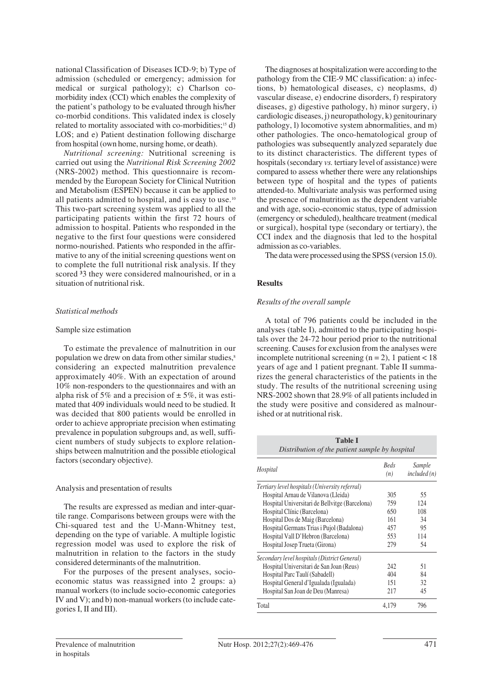national Classification of Diseases ICD-9; b) Type of admission (scheduled or emergency; admission for medical or surgical pathology); c) Charlson comorbidity index (CCI) which enables the complexity of the patient's pathology to be evaluated through his/her co-morbid conditions. This validated index is closely related to mortality associated with co-morbidities;<sup>15</sup> d) LOS; and e) Patient destination following discharge from hospital (own home, nursing home, or death).

*Nutritional screening:* Nutritional screening is carried out using the *Nutritional Risk Screening 2002* (NRS-2002) method. This questionnaire is recommended by the European Society for Clinical Nutrition and Metabolism (ESPEN) because it can be applied to all patients admitted to hospital, and is easy to use.<sup>10</sup> This two-part screening system was applied to all the participating patients within the first 72 hours of admission to hospital. Patients who responded in the negative to the first four questions were considered normo-nourished. Patients who responded in the affirmative to any of the initial screening questions went on to complete the full nutritional risk analysis. If they scored <sup>3</sup>3 they were considered malnourished, or in a situation of nutritional risk.

# *Statistical methods*

## Sample size estimation

To estimate the prevalence of malnutrition in our population we drew on data from other similar studies,<sup>8</sup> considering an expected malnutrition prevalence approximately 40%. With an expectation of around 10% non-responders to the questionnaires and with an alpha risk of 5% and a precision of  $\pm$  5%, it was estimated that 409 individuals would need to be studied. It was decided that 800 patients would be enrolled in order to achieve appropriate precision when estimating prevalence in population subgroups and, as well, sufficient numbers of study subjects to explore relationships between malnutrition and the possible etiological factors (secondary objective).

## Analysis and presentation of results

The results are expressed as median and inter-quartile range. Comparisons between groups were with the Chi-squared test and the U-Mann-Whitney test, depending on the type of variable. A multiple logistic regression model was used to explore the risk of malnutrition in relation to the factors in the study considered determinants of the malnutrition.

For the purposes of the present analyses, socioeconomic status was reassigned into 2 groups: a) manual workers (to include socio-economic categories IV and V); and b) non-manual workers (to include categories I, II and III).

The diagnoses at hospitalization were according to the pathology from the CIE-9 MC classification: a) infections, b) hematological diseases, c) neoplasms, d) vascular disease, e) endocrine disorders, f) respiratory diseases, g) digestive pathology, h) minor surgery, i) cardiologic diseases, j) neuropathology, k) genitourinary pathology, l) locomotive system abnormalities, and m) other pathologies. The onco-hematological group of pathologies was subsequently analyzed separately due to its distinct characteristics. The different types of hospitals (secondary *vs.* tertiary level of assistance) were compared to assess whether there were any relationships between type of hospital and the types of patients attended-to. Multivariate analysis was performed using the presence of malnutrition as the dependent variable and with age, socio-economic status, type of admission (emergency or scheduled), healthcare treatment (medical or surgical), hospital type (secondary or tertiary), the CCI index and the diagnosis that led to the hospital admission as co-variables.

The data were processed using the SPSS (version 15.0).

# **Results**

# *Results of the overall sample*

A total of 796 patients could be included in the analyses (table I), admitted to the participating hospitals over the 24-72 hour period prior to the nutritional screening. Causes for exclusion from the analyses were incomplete nutritional screening  $(n = 2)$ , 1 patient < 18 years of age and 1 patient pregnant. Table II summarizes the general characteristics of the patients in the study. The results of the nutritional screening using NRS-2002 shown that 28.9% of all patients included in the study were positive and considered as malnourished or at nutritional risk.

| Table I<br>Distribution of the patient sample by hospital |                    |                        |  |
|-----------------------------------------------------------|--------------------|------------------------|--|
| Hospital                                                  | <b>Beds</b><br>(n) | Sample<br>included (n) |  |
| Tertiary level hospitals (University referral)            |                    |                        |  |
| Hospital Arnau de Vilanova (Lleida)                       | 305                | 55                     |  |
| Hospital Universitari de Bellvitge (Barcelona)            | 759                | 124                    |  |
| Hospital Clínic (Barcelona)                               | 650                | 108                    |  |
| Hospital Dos de Maig (Barcelona)                          | 161                | 34                     |  |
| Hospital Germans Trias i Pujol (Badalona)                 | 457                | 95                     |  |
| Hospital Vall D'Hebron (Barcelona)                        | 553                | 114                    |  |
| Hospital Josep Trueta (Girona)                            | 279                | 54                     |  |
| Secondary level hospitals (District General)              |                    |                        |  |
| Hospital Universitari de San Joan (Reus)                  | 242                | 51                     |  |
| Hospital Parc Taulí (Sabadell)                            | 404                | 84                     |  |
| Hospital General d'Igualada (Igualada)                    | 151                | 32                     |  |
| Hospital San Joan de Deu (Manresa)                        | 217                | 45                     |  |
| Total                                                     | 4,179              | 796                    |  |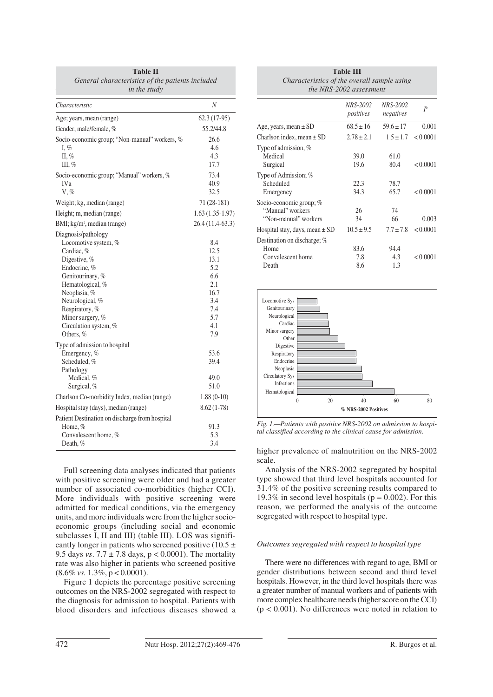| Table II<br>General characteristics of the patients included<br>in the study                                                                                                                                                                     |                                                                                     |
|--------------------------------------------------------------------------------------------------------------------------------------------------------------------------------------------------------------------------------------------------|-------------------------------------------------------------------------------------|
| Characteristic                                                                                                                                                                                                                                   | N                                                                                   |
| Age; years, mean (range)                                                                                                                                                                                                                         | $62.3(17-95)$                                                                       |
| Gender; male/female, %                                                                                                                                                                                                                           | 55.2/44.8                                                                           |
| Socio-economic group; "Non-manual" workers, %<br>I, $\%$<br>II, $%$<br>III, $\%$                                                                                                                                                                 | 26.6<br>4.6<br>4.3<br>17.7                                                          |
| Socio-economic group; "Manual" workers, %<br>IV <sub>a</sub><br>$V, \%$                                                                                                                                                                          | 73.4<br>40.9<br>32.5                                                                |
| Weight; kg, median (range)                                                                                                                                                                                                                       | 71 (28-181)                                                                         |
| Height; m, median (range)                                                                                                                                                                                                                        | 1.63 (1.35-1.97)                                                                    |
| BMI; kg/m <sup>2</sup> , median (range)                                                                                                                                                                                                          | 26.4 (11.4-63.3)                                                                    |
| Diagnosis/pathology<br>Locomotive system, %<br>Cardiac, %<br>Digestive, %<br>Endocrine, %<br>Genitourinary, %<br>Hematological, %<br>Neoplasia, %<br>Neurological, %<br>Respiratory, %<br>Minor surgery, %<br>Circulation system, %<br>Others, % | 8.4<br>12.5<br>13.1<br>5.2<br>6.6<br>2.1<br>16.7<br>3.4<br>7.4<br>5.7<br>4.1<br>7.9 |
| Type of admission to hospital<br>Emergency, %<br>Scheduled, %<br>Pathology<br>Medical, %<br>Surgical, %                                                                                                                                          | 53.6<br>39.4<br>49.0<br>51.0                                                        |
| Charlson Co-morbidity Index, median (range)                                                                                                                                                                                                      | $1.88(0-10)$                                                                        |
| Hospital stay (days), median (range)                                                                                                                                                                                                             | $8.62(1-78)$                                                                        |
| Patient Destination on discharge from hospital<br>Home, %<br>Convalescent home, %<br>Death, $%$                                                                                                                                                  | 91.3<br>5.3<br>3.4                                                                  |

Full screening data analyses indicated that patients with positive screening were older and had a greater number of associated co-morbidities (higher CCI). More individuals with positive screening were admitted for medical conditions, via the emergency units, and more individuals were from the higher socioeconomic groups (including social and economic subclasses I, II and III) (table III). LOS was significantly longer in patients who screened positive (10.5  $\pm$ 9.5 days *vs*. 7.7 ± 7.8 days, p < 0.0001). The mortality rate was also higher in patients who screened positive (8.6% *vs.* 1.3%, p < 0.0001).

Figure 1 depicts the percentage positive screening outcomes on the NRS-2002 segregated with respect to the diagnosis for admission to hospital. Patients with blood disorders and infectious diseases showed a

| <b>Table III</b><br>Characteristics of the overall sample using<br>the NRS-2002 assessment |                       |                       |          |
|--------------------------------------------------------------------------------------------|-----------------------|-----------------------|----------|
|                                                                                            | NRS-2002<br>positives | NRS-2002<br>negatives | P        |
| Age, years, mean $\pm$ SD                                                                  | $68.5 \pm 16$         | $59.6 \pm 17$         | 0.001    |
| Charlson index, mean $\pm$ SD                                                              | $2.78 \pm 2.1$        | $1.5 \pm 1.7$         | < 0.0001 |
| Type of admission, $%$<br>Medical<br>Surgical<br>Type of Admission; %<br>Scheduled         | 39.0<br>19.6<br>22.3  | 61.0<br>80.4<br>78.7  | < 0.0001 |
| Emergency                                                                                  | 34.3                  | 65.7                  | < 0.0001 |
| Socio-economic group; %<br>"Manual" workers<br>"Non-manual" workers                        | 26<br>34              | 74<br>66              | 0.003    |
| Hospital stay, days, mean $\pm$ SD                                                         | $10.5 \pm 9.5$        | $7.7 \pm 7.8$         | < 0.0001 |
| Destination on discharge; %<br>Home<br>Convalescent home<br>Death                          | 83.6<br>7.8<br>8.6    | 94.4<br>4.3<br>1.3    | < 0.0001 |



*Fig. 1.—Patients with positive NRS-2002 on admission to hospital classified according to the clinical cause for admission.*

higher prevalence of malnutrition on the NRS-2002 scale.

Analysis of the NRS-2002 segregated by hospital type showed that third level hospitals accounted for 31.4% of the positive screening results compared to 19.3% in second level hospitals ( $p = 0.002$ ). For this reason, we performed the analysis of the outcome segregated with respect to hospital type.

# *Outcomes segregated with respect to hospital type*

There were no differences with regard to age, BMI or gender distributions between second and third level hospitals. However, in the third level hospitals there was a greater number of manual workers and of patients with more complex healthcare needs (higher score on the CCI)  $(p < 0.001)$ . No differences were noted in relation to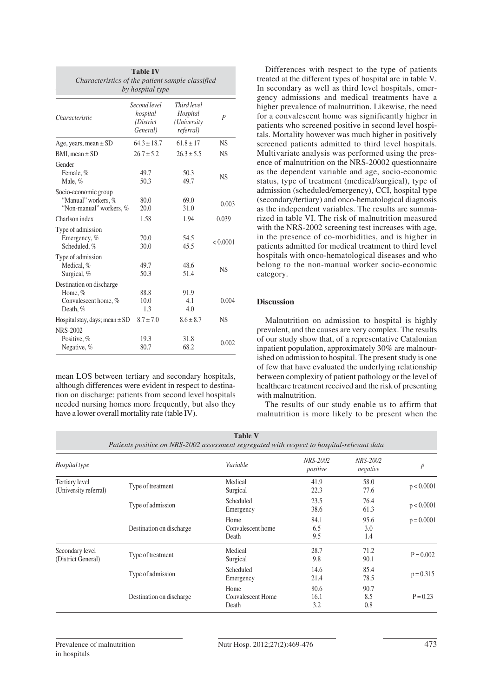| <b>Table IV</b><br>Characteristics of the patient sample classified<br>by hospital type |                                                   |                                                     |           |
|-----------------------------------------------------------------------------------------|---------------------------------------------------|-----------------------------------------------------|-----------|
| Characteristic                                                                          | Second level<br>hospital<br>(District<br>General) | Third level<br>Hospital<br>(University<br>referral) | P         |
| Age, years, mean $\pm$ SD                                                               | $64.3 \pm 18.7$                                   | $61.8 + 17$                                         | <b>NS</b> |
| BMI, mean $\pm$ SD                                                                      | $26.7 \pm 5.2$                                    | $26.3 \pm 5.5$                                      | <b>NS</b> |
| Gender<br>Female, %<br>Male, %                                                          | 49.7<br>50.3                                      | 50.3<br>49.7                                        | <b>NS</b> |
| Socio-economic group<br>"Manual" workers, %<br>"Non-manual" workers, %                  | 80.0<br>20.0                                      | 69.0<br>31.0                                        | 0.003     |
| Charlson index                                                                          | 1.58                                              | 1.94                                                | 0.039     |
| Type of admission<br>Emergency, %<br>Scheduled, %                                       | 70.0<br>30.0                                      | 54.5<br>45.5                                        | < 0.0001  |
| Type of admission<br>Medical, %<br>Surgical, %                                          | 49.7<br>50.3                                      | 48.6<br>51.4                                        | <b>NS</b> |
| Destination on discharge<br>Home, %<br>Convalescent home, %<br>Death, %                 | 88.8<br>10.0<br>1.3                               | 91.9<br>4.1<br>4.0                                  | 0.004     |
| Hospital stay, days; mean $\pm$ SD                                                      | $8.7 \pm 7.0$                                     | $8.6 \pm 8.7$                                       | <b>NS</b> |
| NRS-2002<br>Positive, %<br>Negative, %                                                  | 19.3<br>80.7                                      | 31.8<br>68.2                                        | 0.002     |

mean LOS between tertiary and secondary hospitals, although differences were evident in respect to destination on discharge: patients from second level hospitals needed nursing homes more frequently, but also they have a lower overall mortality rate (table IV).

Differences with respect to the type of patients treated at the different types of hospital are in table V. In secondary as well as third level hospitals, emergency admissions and medical treatments have a higher prevalence of malnutrition. Likewise, the need for a convalescent home was significantly higher in patients who screened positive in second level hospitals. Mortality however was much higher in positively screened patients admitted to third level hospitals. Multivariate analysis was performed using the presence of malnutrition on the NRS-20002 questionnaire as the dependent variable and age, socio-economic status, type of treatment (medical/surgical), type of admission (scheduled/emergency), CCI, hospital type (secondary/tertiary) and onco-hematological diagnosis as the independent variables. The results are summarized in table VI. The risk of malnutrition measured with the NRS-2002 screening test increases with age, in the presence of co-morbidities, and is higher in patients admitted for medical treatment to third level hospitals with onco-hematological diseases and who belong to the non-manual worker socio-economic category.

# **Discussion**

Malnutrition on admission to hospital is highly prevalent, and the causes are very complex. The results of our study show that, of a representative Catalonian inpatient population, approximately 30% are malnourished on admission to hospital. The present study is one of few that have evaluated the underlying relationship between complexity of patient pathology or the level of healthcare treatment received and the risk of presenting with malnutrition.

The results of our study enable us to affirm that malnutrition is more likely to be present when the

| Table y<br>Patients positive on NRS-2002 assessment segregated with respect to hospital-relevant data |                          |                                    |                      |                      |                  |
|-------------------------------------------------------------------------------------------------------|--------------------------|------------------------------------|----------------------|----------------------|------------------|
| Hospital type                                                                                         |                          | Variable                           | NRS-2002<br>positive | NRS-2002<br>negative | $\boldsymbol{p}$ |
| Tertiary level<br>(University referral)                                                               | Type of treatment        | Medical<br>Surgical                | 41.9<br>22.3         | 58.0<br>77.6         | p < 0.0001       |
|                                                                                                       | Type of admission        | Scheduled<br>Emergency             | 23.5<br>38.6         | 76.4<br>61.3         | p < 0.0001       |
|                                                                                                       | Destination on discharge | Home<br>Convalescent home<br>Death | 84.1<br>6.5<br>9.5   | 95.6<br>3.0<br>1.4   | $p = 0.0001$     |
| Secondary level<br>(District General)                                                                 | Type of treatment        | Medical<br>Surgical                | 28.7<br>9.8          | 71.2<br>90.1         | $P = 0.002$      |
|                                                                                                       | Type of admission        | Scheduled<br>Emergency             | 14.6<br>21.4         | 85.4<br>78.5         | $p = 0.315$      |
|                                                                                                       | Destination on discharge | Home<br>Convalescent Home<br>Death | 80.6<br>16.1<br>3.2  | 90.7<br>8.5<br>0.8   | $P = 0.23$       |

**Table V**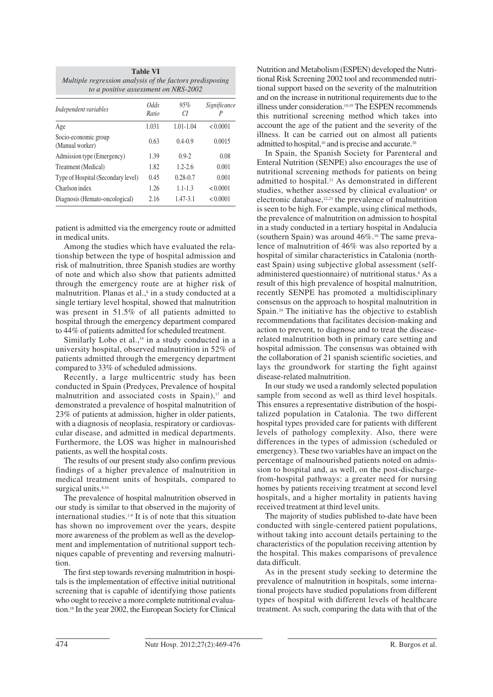| <b>Table VI</b><br>Multiple regression analysis of the factors predisposing<br>to a positive assessment on NRS-2002 |               |               |                   |  |
|---------------------------------------------------------------------------------------------------------------------|---------------|---------------|-------------------|--|
| Independent variables                                                                                               | Odds<br>Ratio | 95%<br>СI     | Significance<br>Р |  |
| Age                                                                                                                 | 1.031         | $1.01 - 1.04$ | < 0.0001          |  |
| Socio-economic group<br>(Manual worker)                                                                             | 0.63          | $0.4 - 0.9$   | 0.0015            |  |
| Admission type (Emergency)                                                                                          | 1.39          | $0.9 - 2$     | 0.08              |  |
| Treatment (Medical)                                                                                                 | 1.82          | $1.2 - 2.6$   | 0.001             |  |
| Type of Hospital (Secondary level)                                                                                  | 0.45          | $0.28 - 0.7$  | 0.001             |  |
| Charlson index                                                                                                      | 1.26          | $1.1 - 1.3$   | < 0.0001          |  |
| Diagnosis (Hemato-oncological)                                                                                      | 2.16          | 1.47-3.1      | < 0.0001          |  |

patient is admitted via the emergency route or admitted in medical units.

Among the studies which have evaluated the relationship between the type of hospital admission and risk of malnutrition, three Spanish studies are worthy of note and which also show that patients admitted through the emergency route are at higher risk of malnutrition. Planas et al.,<sup>8</sup> in a study conducted at a single tertiary level hospital, showed that malnutrition was present in 51.5% of all patients admitted to hospital through the emergency department compared to 44% of patients admitted for scheduled treatment.

Similarly Lobo et al.,<sup>16</sup> in a study conducted in a university hospital, observed malnutrition in 52% of patients admitted through the emergency department compared to 33% of scheduled admissions.

Recently, a large multicentric study has been conducted in Spain (Predyces, Prevalence of hospital malnutrition and associated costs in Spain), $17$  and demonstrated a prevalence of hospital malnutrition of 23% of patients at admission, higher in older patients, with a diagnosis of neoplasia, respiratory or cardiovascular disease, and admitted in medical departments. Furthermore, the LOS was higher in malnourished patients, as well the hospital costs.

The results of our present study also confirm previous findings of a higher prevalence of malnutrition in medical treatment units of hospitals, compared to surgical units.<sup>8,16</sup>

The prevalence of hospital malnutrition observed in our study is similar to that observed in the majority of international studies.1-9 It is of note that this situation has shown no improvement over the years, despite more awareness of the problem as well as the development and implementation of nutritional support techniques capable of preventing and reversing malnutrition.

The first step towards reversing malnutrition in hospitals is the implementation of effective initial nutritional screening that is capable of identifying those patients who ought to receive a more complete nutritional evaluation.18 In the year 2002, the European Society for Clinical Nutrition and Metabolism (ESPEN) developed the Nutritional Risk Screening 2002 tool and recommended nutritional support based on the severity of the malnutrition and on the increase in nutritional requirements due to the illness under consideration.10,19 The ESPEN recommends this nutritional screening method which takes into account the age of the patient and the severity of the illness. It can be carried out on almost all patients admitted to hospital,  $10$  and is precise and accurate.<sup>20</sup>

In Spain, the Spanish Society for Parenteral and Enteral Nutrition (SENPE) also encourages the use of nutritional screening methods for patients on being admitted to hospital.21 As demonstrated in different studies, whether assessed by clinical evaluation<sup>8</sup> or electronic database, $22,23$  the prevalence of malnutrition is seen to be high. For example, using clinical methods, the prevalence of malnutrition on admission to hospital in a study conducted in a tertiary hospital in Andalucia (southern Spain) was around  $46\%$ .<sup>16</sup> The same prevalence of malnutrition of 46% was also reported by a hospital of similar characteristics in Catalonia (northeast Spain) using subjective global assessment (selfadministered questionnaire) of nutritional status.<sup>8</sup> As a result of this high prevalence of hospital malnutrition, recently SENPE has promoted a multidisciplinary consensus on the approach to hospital malnutrition in Spain.<sup>24</sup> The initiative has the objective to establish recommendations that facilitates decision-making and action to prevent, to diagnose and to treat the diseaserelated malnutrition both in primary care setting and hospital admission. The consensus was obtained with the collaboration of 21 spanish scientific societies, and lays the groundwork for starting the fight against disease-related malnutrition.

In our study we used a randomly selected population sample from second as well as third level hospitals. This ensures a representative distribution of the hospitalized population in Catalonia. The two different hospital types provided care for patients with different levels of pathology complexity. Also, there were differences in the types of admission (scheduled or emergency). These two variables have an impact on the percentage of malnourished patients noted on admission to hospital and, as well, on the post-dischargefrom-hospital pathways: a greater need for nursing homes by patients receiving treatment at second level hospitals, and a higher mortality in patients having received treatment at third level units.

The majority of studies published to-date have been conducted with single-centered patient populations, without taking into account details pertaining to the characteristics of the population receiving attention by the hospital. This makes comparisons of prevalence data difficult.

As in the present study seeking to determine the prevalence of malnutrition in hospitals, some international projects have studied populations from different types of hospital with different levels of healthcare treatment. As such, comparing the data with that of the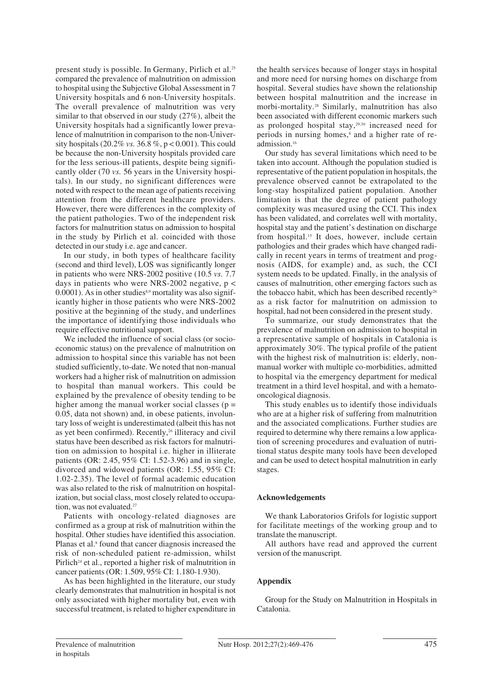present study is possible. In Germany, Pirlich et al.25 compared the prevalence of malnutrition on admission to hospital using the Subjective Global Assessment in 7 University hospitals and 6 non-University hospitals. The overall prevalence of malnutrition was very similar to that observed in our study (27%), albeit the University hospitals had a significantly lower prevalence of malnutrition in comparison to the non-University hospitals (20.2% *vs.* 36.8 %, p < 0.001). This could be because the non-University hospitals provided care for the less serious-ill patients, despite being significantly older (70 *vs.* 56 years in the University hospitals). In our study, no significant differences were noted with respect to the mean age of patients receiving attention from the different healthcare providers. However, there were differences in the complexity of the patient pathologies. Two of the independent risk factors for malnutrition status on admission to hospital in the study by Pirlich et al. coincided with those detected in our study i.e. age and cancer.

In our study, in both types of healthcare facility (second and third level), LOS was significantly longer in patients who were NRS-2002 positive (10.5 *vs.* 7.7 days in patients who were NRS-2002 negative,  $p <$  $0.0001$ ). As in other studies<sup>8,9</sup> mortality was also significantly higher in those patients who were NRS-2002 positive at the beginning of the study, and underlines the importance of identifying those individuals who require effective nutritional support.

We included the influence of social class (or socioeconomic status) on the prevalence of malnutrition on admission to hospital since this variable has not been studied sufficiently, to-date. We noted that non-manual workers had a higher risk of malnutrition on admission to hospital than manual workers. This could be explained by the prevalence of obesity tending to be higher among the manual worker social classes ( $p =$ 0.05, data not shown) and, in obese patients, involuntary loss of weight is underestimated (albeit this has not as yet been confirmed). Recently,<sup>26</sup> illiteracy and civil status have been described as risk factors for malnutrition on admission to hospital i.e. higher in illiterate patients (OR: 2.45, 95% CI: 1.52-3.96) and in single, divorced and widowed patients (OR: 1.55, 95% CI: 1.02-2.35). The level of formal academic education was also related to the risk of malnutrition on hospitalization, but social class, most closely related to occupation, was not evaluated.<sup>27</sup>

Patients with oncology-related diagnoses are confirmed as a group at risk of malnutrition within the hospital. Other studies have identified this association. Planas et al.<sup>8</sup> found that cancer diagnosis increased the risk of non-scheduled patient re-admission, whilst Pirlich<sup>24</sup> et al., reported a higher risk of malnutrition in cancer patients (OR: 1.509, 95% CI: 1.180-1.930).

As has been highlighted in the literature, our study clearly demonstrates that malnutrition in hospital is not only associated with higher mortality but, even with successful treatment, is related to higher expenditure in the health services because of longer stays in hospital and more need for nursing homes on discharge from hospital. Several studies have shown the relationship between hospital malnutrition and the increase in morbi-mortality.28 Similarly, malnutrition has also been associated with different economic markers such as prolonged hospital stay,29,30 increased need for periods in nursing homes,<sup>8</sup> and a higher rate of readmission.16

Our study has several limitations which need to be taken into account. Although the population studied is representative of the patient population in hospitals, the prevalence observed cannot be extrapolated to the long-stay hospitalized patient population. Another limitation is that the degree of patient pathology complexity was measured using the CCI. This index has been validated, and correlates well with mortality, hospital stay and the patient's destination on discharge from hospital.15 It does, however, include certain pathologies and their grades which have changed radically in recent years in terms of treatment and prognosis (AIDS, for example) and, as such, the CCI system needs to be updated. Finally, in the analysis of causes of malnutrition, other emerging factors such as the tobacco habit, which has been described recently<sup>26</sup> as a risk factor for malnutrition on admission to hospital, had not been considered in the present study.

To summarize, our study demonstrates that the prevalence of malnutrition on admission to hospital in a representative sample of hospitals in Catalonia is approximately 30%. The typical profile of the patient with the highest risk of malnutrition is: elderly, nonmanual worker with multiple co-morbidities, admitted to hospital via the emergency department for medical treatment in a third level hospital, and with a hematooncological diagnosis.

This study enables us to identify those individuals who are at a higher risk of suffering from malnutrition and the associated complications. Further studies are required to determine why there remains a low application of screening procedures and evaluation of nutritional status despite many tools have been developed and can be used to detect hospital malnutrition in early stages.

# **Acknowledgements**

We thank Laboratorios Grifols for logistic support for facilitate meetings of the working group and to translate the manuscript.

All authors have read and approved the current version of the manuscript.

# **Appendix**

Group for the Study on Malnutrition in Hospitals in Catalonia.